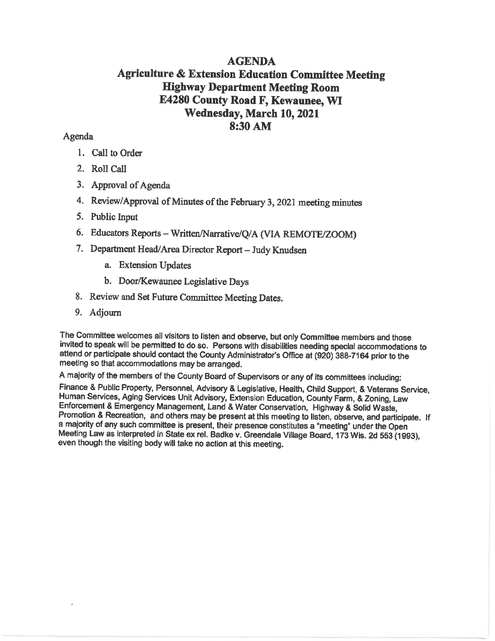# **AGENDA Agriculture & Extension Education Committee Meeting Highway Department Meeting Room** E4280 County Road F, Kewaunee, WI Wednesday, March 10, 2021 8:30 AM

## Agenda

- 1. Call to Order
- 2. Roll Call
- 3. Approval of Agenda
- 4. Review/Approval of Minutes of the February 3, 2021 meeting minutes
- 5. Public Input
- 6. Educators Reports Written/Narrative/Q/A (VIA REMOTE/ZOOM)
- 7. Department Head/Area Director Report Judy Knudsen
	- a. Extension Updates
	- b. Door/Kewaunee Legislative Days
- 8. Review and Set Future Committee Meeting Dates.
- 9. Adjourn

The Committee welcomes all visitors to listen and observe, but only Committee members and those invited to speak will be permitted to do so. Persons with disabilities needing special accommodations to attend or participate should contact the County Administrator's Office at (920) 388-7164 prior to the meeting so that accommodations may be arranged.

A majority of the members of the County Board of Supervisors or any of its committees including:

Finance & Public Property, Personnel, Advisory & Legislative, Health, Child Support, & Veterans Service, Human Services, Aging Services Unit Advisory, Extension Education, County Farm, & Zoning, Law Enforcement & Emergency Management, Land & Water Conservation, Highway & Solid Waste, Promotion & Recreation, and others may be present at this meeting to listen, observe, and participate. If a majority of any such committee is present, their presence constitutes a "meeting" under the Open Meeting Law as interpreted in State ex rel. Badke v. Greendale Village Board, 173 Wis. 2d 553 (1993), even though the visiting body will take no action at this meeting.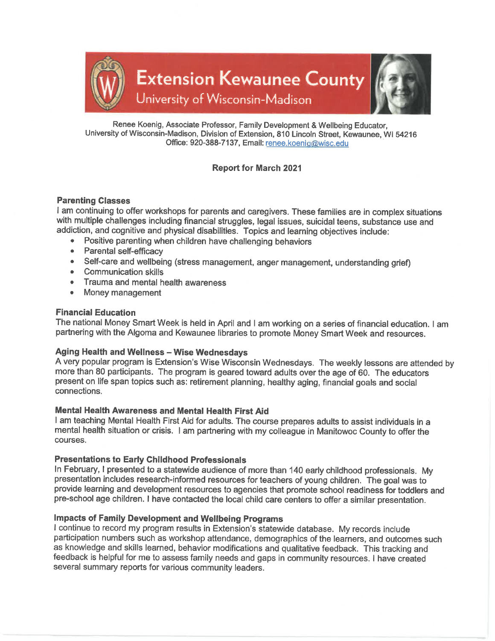

Renee Koenig, Associate Professor, Family Development & Wellbeing Educator, University of Wisconsin-Madison, Division of Extension, 810 Lincoln Street, Kewaunee, WI 54216 Office: 920-388-7137, Email: renee.koenig@wisc.edu

## **Report for March 2021**

### **Parenting Classes**

I am continuing to offer workshops for parents and caregivers. These families are in complex situations with multiple challenges including financial struggles, legal issues, suicidal teens, substance use and addiction, and cognitive and physical disabilities. Topics and learning objectives include:

- Positive parenting when children have challenging behaviors  $\bullet$
- $\bullet$ **Parental self-efficacy**
- Self-care and wellbeing (stress management, anger management, understanding grief)
- Communication skills
- Trauma and mental health awareness
- $\bullet$ Money management

#### **Financial Education**

The national Money Smart Week is held in April and I am working on a series of financial education. I am partnering with the Algoma and Kewaunee libraries to promote Money Smart Week and resources.

#### **Aging Health and Wellness - Wise Wednesdays**

A very popular program is Extension's Wise Wisconsin Wednesdays. The weekly lessons are attended by more than 80 participants. The program is geared toward adults over the age of 60. The educators present on life span topics such as: retirement planning, healthy aging, financial goals and social connections.

#### Mental Health Awareness and Mental Health First Aid

I am teaching Mental Health First Aid for adults. The course prepares adults to assist individuals in a mental health situation or crisis. I am partnering with my colleague in Manitowoc County to offer the courses.

#### **Presentations to Early Childhood Professionals**

In February, I presented to a statewide audience of more than 140 early childhood professionals. My presentation includes research-informed resources for teachers of young children. The goal was to provide learning and development resources to agencies that promote school readiness for toddlers and pre-school age children. I have contacted the local child care centers to offer a similar presentation.

## Impacts of Family Development and Wellbeing Programs

I continue to record my program results in Extension's statewide database. My records include participation numbers such as workshop attendance, demographics of the learners, and outcomes such as knowledge and skills learned, behavior modifications and qualitative feedback. This tracking and feedback is helpful for me to assess family needs and gaps in community resources. I have created several summary reports for various community leaders.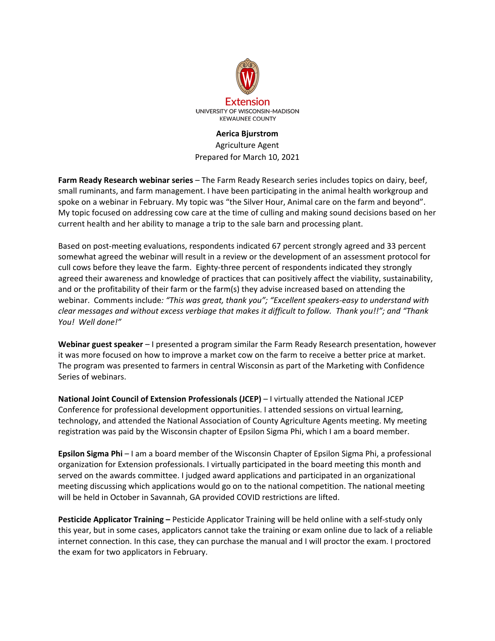

#### **Aerica Bjurstrom**

Agriculture Agent Prepared for March 10, 2021

**Farm Ready Research webinar series** – The Farm Ready Research series includes topics on dairy, beef, small ruminants, and farm management. I have been participating in the animal health workgroup and spoke on a webinar in February. My topic was "the Silver Hour, Animal care on the farm and beyond". My topic focused on addressing cow care at the time of culling and making sound decisions based on her current health and her ability to manage a trip to the sale barn and processing plant.

Based on post-meeting evaluations, respondents indicated 67 percent strongly agreed and 33 percent somewhat agreed the webinar will result in a review or the development of an assessment protocol for cull cows before they leave the farm. Eighty-three percent of respondents indicated they strongly agreed their awareness and knowledge of practices that can positively affect the viability, sustainability, and or the profitability of their farm or the farm(s) they advise increased based on attending the webinar. Comments include*: "This was great, thank you"; "Excellent speakers-easy to understand with clear messages and without excess verbiage that makes it difficult to follow. Thank you!!"; and "Thank You! Well done!"*

**Webinar guest speaker** – I presented a program similar the Farm Ready Research presentation, however it was more focused on how to improve a market cow on the farm to receive a better price at market. The program was presented to farmers in central Wisconsin as part of the Marketing with Confidence Series of webinars.

**National Joint Council of Extension Professionals (JCEP)** – I virtually attended the National JCEP Conference for professional development opportunities. I attended sessions on virtual learning, technology, and attended the National Association of County Agriculture Agents meeting. My meeting registration was paid by the Wisconsin chapter of Epsilon Sigma Phi, which I am a board member.

**Epsilon Sigma Phi** – I am a board member of the Wisconsin Chapter of Epsilon Sigma Phi, a professional organization for Extension professionals. I virtually participated in the board meeting this month and served on the awards committee. I judged award applications and participated in an organizational meeting discussing which applications would go on to the national competition. The national meeting will be held in October in Savannah, GA provided COVID restrictions are lifted.

**Pesticide Applicator Training –** Pesticide Applicator Training will be held online with a self-study only this year, but in some cases, applicators cannot take the training or exam online due to lack of a reliable internet connection. In this case, they can purchase the manual and I will proctor the exam. I proctored the exam for two applicators in February.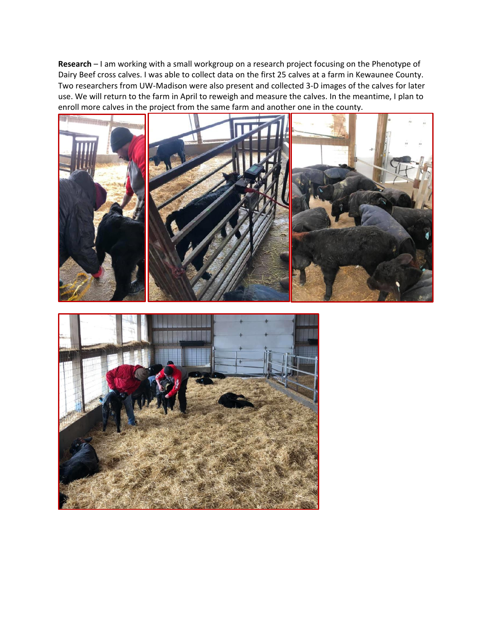**Research** – I am working with a small workgroup on a research project focusing on the Phenotype of Dairy Beef cross calves. I was able to collect data on the first 25 calves at a farm in Kewaunee County. Two researchers from UW-Madison were also present and collected 3-D images of the calves for later use. We will return to the farm in April to reweigh and measure the calves. In the meantime, I plan to enroll more calves in the project from the same farm and another one in the county.